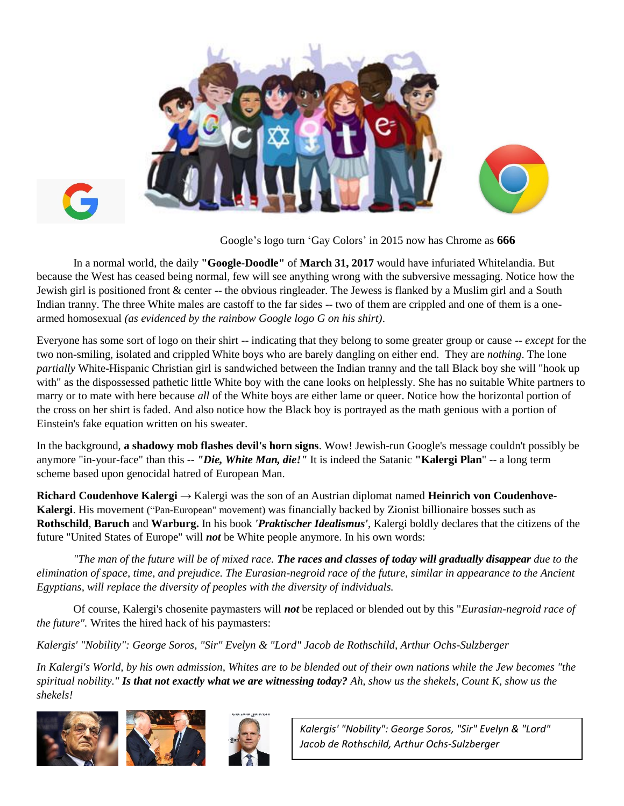



Google's logo turn 'Gay Colors' in 2015 now has Chrome as **666**

In a normal world, the daily **"Google-Doodle"** of **March 31, 2017** would have infuriated Whitelandia. But because the West has ceased being normal, few will see anything wrong with the subversive messaging. Notice how the Jewish girl is positioned front & center -- the obvious ringleader. The Jewess is flanked by a Muslim girl and a South Indian tranny. The three White males are castoff to the far sides -- two of them are crippled and one of them is a onearmed homosexual *(as evidenced by the rainbow Google logo G on his shirt)*.

Everyone has some sort of logo on their shirt -- indicating that they belong to some greater group or cause -- *except* for the two non-smiling, isolated and crippled White boys who are barely dangling on either end. They are *nothing*. The lone *partially* White-Hispanic Christian girl is sandwiched between the Indian tranny and the tall Black boy she will "hook up with" as the dispossessed pathetic little White boy with the cane looks on helplessly. She has no suitable White partners to marry or to mate with here because *all* of the White boys are either lame or queer. Notice how the horizontal portion of the cross on her shirt is faded. And also notice how the Black boy is portrayed as the math genious with a portion of Einstein's fake equation written on his sweater.

In the background, **a shadowy mob flashes devil's horn signs**. Wow! Jewish-run Google's message couldn't possibly be anymore "in-your-face" than this -- *"Die, White Man, die!"* It is indeed the Satanic **"Kalergi Plan**" -- a long term scheme based upon genocidal hatred of European Man.

**Richard Coudenhove Kalergi** → Kalergi was the son of an Austrian diplomat named **Heinrich von Coudenhove-Kalergi**. His movement ("Pan-European" movement) was financially backed by Zionist billionaire bosses such as **Rothschild**, **Baruch** and **Warburg.** In his book *'Praktischer Idealismus'*, Kalergi boldly declares that the citizens of the future "United States of Europe" will *not* be White people anymore. In his own words:

*"The man of the future will be of mixed race. The races and classes of today will gradually disappear due to the elimination of space, time, and prejudice. The Eurasian-negroid race of the future, similar in appearance to the Ancient Egyptians, will replace the diversity of peoples with the diversity of individuals.* 

Of course, Kalergi's chosenite paymasters will *not* be replaced or blended out by this "*Eurasian-negroid race of the future".* Writes the hired hack of his paymasters:

*Kalergis' "Nobility": George Soros, "Sir" Evelyn & "Lord" Jacob de Rothschild, Arthur Ochs-Sulzberger*

*In Kalergi's World, by his own admission, Whites are to be blended out of their own nations while the Jew becomes "the spiritual nobility." Is that not exactly what we are witnessing today? Ah, show us the shekels, Count K, show us the shekels!* 







*Kalergis' "Nobility": George Soros, "Sir" Evelyn & "Lord" Jacob de Rothschild, Arthur Ochs-Sulzberger*